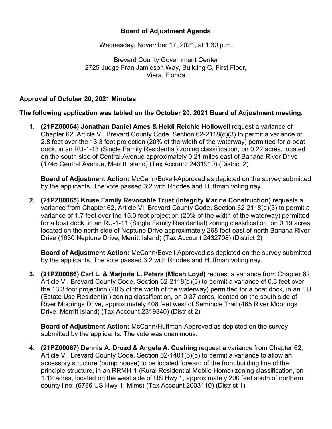## **Board of Adjustment Agenda**

Wednesday, November 17, 2021, at 1:30 p.m.

Brevard County Government Center 2725 Judge Fran Jamieson Way, Building C, First Floor, Viera, Florida

## **Approval of October 20, 2021 Minutes**

**The following application was tabled on the October 20, 2021 Board of Adjustment meeting.**

**1. (21PZ00064) Jonathan Daniel Ames & Heidi Reichle Hollowell** request a variance of Chapter 62, Article VI, Brevard County Code, Section 62-2118(d)(3) to permit a variance of 2.8 feet over the 13.3 foot projection (20% of the width of the waterway) permitted for a boat dock, in an RU-1-13 (Single Family Residential) zoning classification, on 0.22 acres, located on the south side of Central Avenue approximately 0.21 miles east of Banana River Drive (1745 Central Avenue, Merritt Island) (Tax Account 2431910) (District 2)

**Board of Adjustment Action:** McCann/Bovell-Approved as depicted on the survey submitted by the applicants. The vote passed 3:2 with Rhodes and Huffman voting nay.

**2. (21PZ00065) Kruse Family Revocable Trust (Integrity Marine Construction)** requests a variance from Chapter 62, Article VI, Brevard County Code**,** Section 62-2118(d)(3) to permit a variance of 1.7 feet over the 15.0 foot projection (20% of the width of the waterway) permitted for a boat dock, in an RU-1-11 (Single Family Residential) zoning classification, on 0.19 acres, located on the north side of Neptune Drive approximately 268 feet east of north Banana River Drive (1630 Neptune Drive, Merritt Island) (Tax Account 2432708) (District 2)

**Board of Adjustment Action:** McCann/Bovell-Approved as depicted on the survey submitted by the applicants. The vote passed 3:2 with Rhodes and Huffman voting nay.

**3. (21PZ00066) Carl L. & Marjorie L. Peters (Micah Loyd)** request a variance from Chapter 62, Article VI, Brevard County Code, Section 62-2118(d)(3) to permit a variance of 0.3 feet over the 13.3 foot projection (20% of the width of the waterway) permitted for a boat dock, in an EU (Estate Use Residential) zoning classification, on 0.37 acres, located on the south side of River Moorings Drive, approximately 408 feet west of Seminole Trail (485 River Moorings Drive, Merritt Island) (Tax Account 2319340) (District 2)

**Board of Adjustment Action:** McCann/Huffman-Approved as depicted on the survey submitted by the applicants. The vote was unanimous.

**4. (21PZ00067) Dennis A. Drozd & Angela A. Cushing** request a variance from Chapter 62, Article VI, Brevard County Code, Section 62-1401(5)(b) to permit a variance to allow an accessory structure (pump house) to be located forward of the front building line of the principle structure, in an RRMH-1 (Rural Residential Mobile Home) zoning classification, on 1.12 acres, located on the west side of US Hwy 1, approximately 200 feet south of northern county line. (6786 US Hwy 1, Mims) (Tax Account 2003110) (District 1)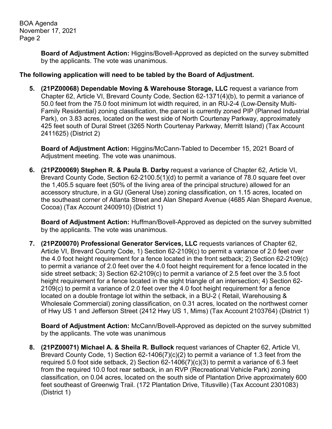BOA Agenda November 17, 2021 Page 2

> **Board of Adjustment Action:** Higgins/Bovell-Approved as depicted on the survey submitted by the applicants. The vote was unanimous.

## **The following application will need to be tabled by the Board of Adjustment.**

**5. (21PZ00068) Dependable Moving & Warehouse Storage, LLC** request a variance from Chapter 62, Article VI, Brevard County Code, Section 62-1371(4)(b), to permit a variance of 50.0 feet from the 75.0 foot minimum lot width required, in an RU-2-4 (Low-Density Multi-Family Residential) zoning classification, the parcel is currently zoned PIP (Planned Industrial Park), on 3.83 acres, located on the west side of North Courtenay Parkway, approximately 425 feet south of Dural Street (3265 North Courtenay Parkway, Merritt Island) (Tax Account 2411625) (District 2)

**Board of Adjustment Action:** Higgins/McCann-Tabled to December 15, 2021 Board of Adjustment meeting. The vote was unanimous.

**6. (21PZ00069) Stephen R. & Paula B. Darby** request a variance of Chapter 62, Article VI, Brevard County Code, Section 62-2100.5(1)(d) to permit a variance of 78.0 square feet over the 1,405.5 square feet (50% of the living area of the principal structure) allowed for an accessory structure, in a GU (General Use) zoning classification, on 1.15 acres, located on the southeast corner of Atlanta Street and Alan Shepard Avenue (4685 Alan Shepard Avenue, Cocoa) (Tax Account 2400910) (District 1)

**Board of Adjustment Action:** Huffman/Bovell-Approved as depicted on the survey submitted by the applicants. The vote was unanimous.

**7. (21PZ00070) Professional Generator Services, LLC** requests variances of Chapter 62, Article VI, Brevard County Code, 1) Section 62-2109(c) to permit a variance of 2.0 feet over the 4.0 foot height requirement for a fence located in the front setback; 2) Section 62-2109(c) to permit a variance of 2.0 feet over the 4.0 foot height requirement for a fence located in the side street setback; 3) Section 62-2109(c) to permit a variance of 2.5 feet over the 3.5 foot height requirement for a fence located in the sight triangle of an intersection; 4) Section 62- 2109(c) to permit a variance of 2.0 feet over the 4.0 foot height requirement for a fence located on a double frontage lot within the setback, in a BU-2 ( Retail, Warehousing & Wholesale Commercial) zoning classification, on 0.31 acres, located on the northwest corner of Hwy US 1 and Jefferson Street (2412 Hwy US 1, Mims) (Tax Account 2103764) (District 1)

**Board of Adjustment Action:** McCann/Bovell-Approved as depicted on the survey submitted by the applicants. The vote was unanimous

**8. (21PZ00071) Michael A. & Sheila R. Bullock** request variances of Chapter 62, Article VI, Brevard County Code, 1) Section 62-1406(7)(c)(2) to permit a variance of 1.3 feet from the required 5.0 foot side setback, 2) Section 62-1406(7)(c)(3) to permit a variance of 6.3 feet from the required 10.0 foot rear setback, in an RVP (Recreational Vehicle Park) zoning classification, on 0.04 acres, located on the south side of Plantation Drive approximately 600 feet southeast of Greenwig Trail. (172 Plantation Drive, Titusville) (Tax Account 2301083) (District 1)